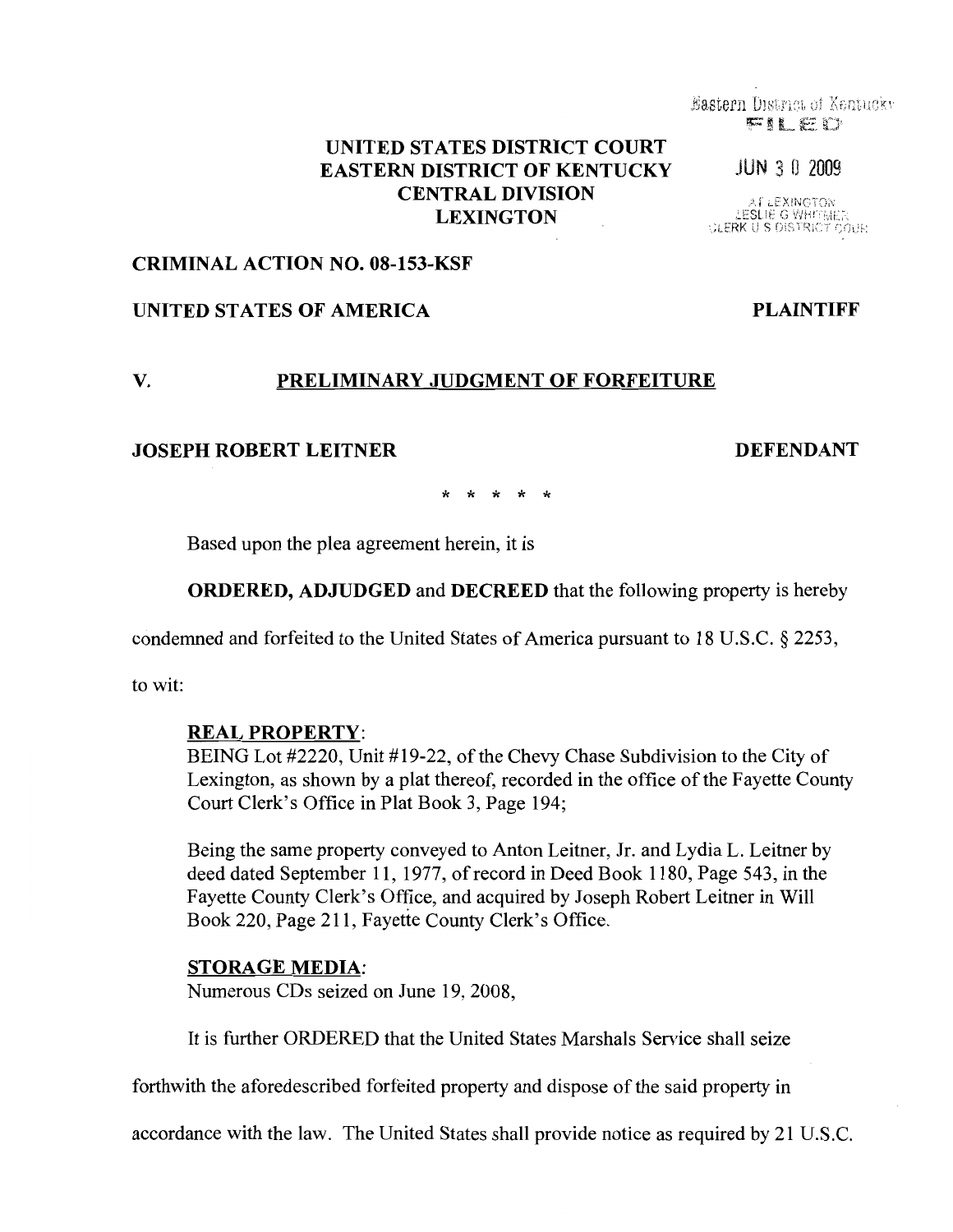# UNITED STATES DISTRICT COURT EASTERN DISTRICT OF KENTUCKY JUN 3 0 2009 CENTRAL DIVISION LEXINGTON

### CRIMINAL ACTION NO. 08-153-KSF

## UNITED STATES OF AMERICA PLAINTIFF

### V. PRELIMINARY JUDGMENT OF FORFEITURE

## JOSEPH ROBERT LEITNER DEFENDANT

\* \* \* \* \*

Based upon the plea agreement herein, it is

ORDERED, ADJUDGED and DECREED that the following property is hereby

condemned and forfeited to the United States of America pursuant to 18 U.S.C. § 2253,

to wit:

#### REAL PROPERTY:

BEING Lot #2220, Unit #19-22, of the Chevy Chase Subdivision to the City of Lexington, as shown by a plat thereof, recorded in the office of the Fayette County Court Clerk's Office in Plat Book 3, Page 194;

Being the same property conveyed to Anton Leitner, Jr. and Lydia L. Leitner by deed dated September 11, 1977, of record in Deed Book 1180, Page 543, in the Fayette County Clerk's Office, and acquired by Joseph Robert Leitner in Will Book 220, Page 211, Fayette County Clerk's Office.

### STORAGE MEDIA:

Numerous CDs seized on June 19, 2008,

It is further ORDERED that the United States Marshals Service shall seize

forthwith the aforedescribed forfeited property and dispose of the said property in

accordance with the law. The United States shall provide notice as required by 21 U.S.C.

Eastern District of Kentucky FILED

AT LEXINGTON LESLIE G WHITMER<br>LERK U S DISTRICT COUR